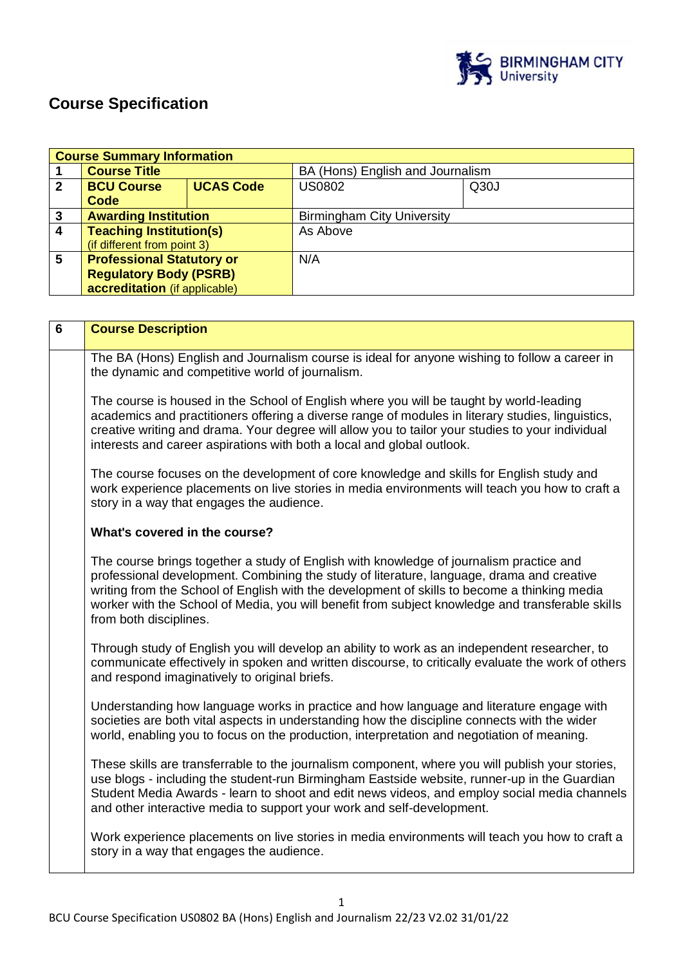

# **Course Specification**

|                         | <b>Course Summary Information</b>     |  |                                   |      |  |
|-------------------------|---------------------------------------|--|-----------------------------------|------|--|
|                         | <b>Course Title</b>                   |  | BA (Hons) English and Journalism  |      |  |
| $\mathbf{2}$            | <b>BCU Course</b><br><b>UCAS Code</b> |  | <b>US0802</b>                     | Q30J |  |
|                         | Code                                  |  |                                   |      |  |
| $\mathbf{3}$            | <b>Awarding Institution</b>           |  | <b>Birmingham City University</b> |      |  |
| $\overline{\mathbf{4}}$ | <b>Teaching Institution(s)</b>        |  | As Above                          |      |  |
|                         | (if different from point 3)           |  |                                   |      |  |
| 5                       | <b>Professional Statutory or</b>      |  | N/A                               |      |  |
|                         | <b>Regulatory Body (PSRB)</b>         |  |                                   |      |  |
|                         | accreditation (if applicable)         |  |                                   |      |  |

| $6\phantom{a}$ | <b>Course Description</b>                                                                                                                                                                                                                                                                                                                                                                                          |  |
|----------------|--------------------------------------------------------------------------------------------------------------------------------------------------------------------------------------------------------------------------------------------------------------------------------------------------------------------------------------------------------------------------------------------------------------------|--|
|                | The BA (Hons) English and Journalism course is ideal for anyone wishing to follow a career in<br>the dynamic and competitive world of journalism.                                                                                                                                                                                                                                                                  |  |
|                | The course is housed in the School of English where you will be taught by world-leading<br>academics and practitioners offering a diverse range of modules in literary studies, linguistics,<br>creative writing and drama. Your degree will allow you to tailor your studies to your individual<br>interests and career aspirations with both a local and global outlook.                                         |  |
|                | The course focuses on the development of core knowledge and skills for English study and<br>work experience placements on live stories in media environments will teach you how to craft a<br>story in a way that engages the audience.                                                                                                                                                                            |  |
|                | What's covered in the course?                                                                                                                                                                                                                                                                                                                                                                                      |  |
|                | The course brings together a study of English with knowledge of journalism practice and<br>professional development. Combining the study of literature, language, drama and creative<br>writing from the School of English with the development of skills to become a thinking media<br>worker with the School of Media, you will benefit from subject knowledge and transferable skills<br>from both disciplines. |  |
|                | Through study of English you will develop an ability to work as an independent researcher, to<br>communicate effectively in spoken and written discourse, to critically evaluate the work of others<br>and respond imaginatively to original briefs.                                                                                                                                                               |  |
|                | Understanding how language works in practice and how language and literature engage with<br>societies are both vital aspects in understanding how the discipline connects with the wider<br>world, enabling you to focus on the production, interpretation and negotiation of meaning.                                                                                                                             |  |
|                | These skills are transferrable to the journalism component, where you will publish your stories,<br>use blogs - including the student-run Birmingham Eastside website, runner-up in the Guardian<br>Student Media Awards - learn to shoot and edit news videos, and employ social media channels<br>and other interactive media to support your work and self-development.                                         |  |
|                | Work experience placements on live stories in media environments will teach you how to craft a<br>story in a way that engages the audience.                                                                                                                                                                                                                                                                        |  |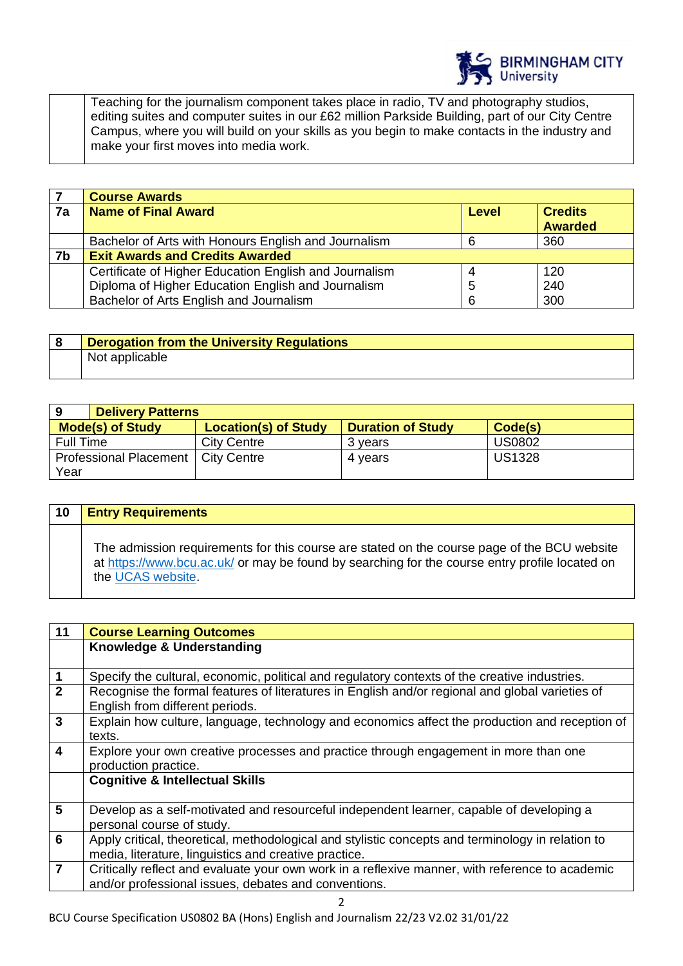

Teaching for the journalism component takes place in radio, TV and photography studios, editing suites and computer suites in our £62 million Parkside Building, part of our City Centre Campus, where you will build on your skills as you begin to make contacts in the industry and make your first moves into media work.

|    | <b>Course Awards</b>                                   |       |                |
|----|--------------------------------------------------------|-------|----------------|
| 7a | <b>Name of Final Award</b>                             | Level | <b>Credits</b> |
|    |                                                        |       | <b>Awarded</b> |
|    | Bachelor of Arts with Honours English and Journalism   | 6     | 360            |
| 7b | <b>Exit Awards and Credits Awarded</b>                 |       |                |
|    | Certificate of Higher Education English and Journalism |       | 120            |
|    | Diploma of Higher Education English and Journalism     | 5     | 240            |
|    | Bachelor of Arts English and Journalism                | 6     | 300            |

| <b>Derogation from the University Regulations</b> |
|---------------------------------------------------|
| Not applicable                                    |

| <b>Delivery Patterns</b><br>9         |                             |                          |               |
|---------------------------------------|-----------------------------|--------------------------|---------------|
| <b>Mode(s) of Study</b>               | <b>Location(s) of Study</b> | <b>Duration of Study</b> | Code(s)       |
| Full Time                             | <b>City Centre</b>          | 3 vears                  | <b>US0802</b> |
| <b>Professional Placement</b><br>Year | City Centre                 | 4 vears                  | <b>US1328</b> |

| 10 | <b>Entry Requirements</b>                                                                                                                                                                                          |
|----|--------------------------------------------------------------------------------------------------------------------------------------------------------------------------------------------------------------------|
|    | The admission requirements for this course are stated on the course page of the BCU website<br>at https://www.bcu.ac.uk/ or may be found by searching for the course entry profile located on<br>the UCAS website. |

| Knowledge & Understanding<br>$\mathbf 1$<br>Specify the cultural, economic, political and regulatory contexts of the creative industries.<br>$\overline{2}$<br>Recognise the formal features of literatures in English and/or regional and global varieties of<br>English from different periods.<br>$\mathbf{3}$<br>Explain how culture, language, technology and economics affect the production and reception of<br>texts.<br>Explore your own creative processes and practice through engagement in more than one |  | 11                      |  |
|-----------------------------------------------------------------------------------------------------------------------------------------------------------------------------------------------------------------------------------------------------------------------------------------------------------------------------------------------------------------------------------------------------------------------------------------------------------------------------------------------------------------------|--|-------------------------|--|
|                                                                                                                                                                                                                                                                                                                                                                                                                                                                                                                       |  |                         |  |
|                                                                                                                                                                                                                                                                                                                                                                                                                                                                                                                       |  |                         |  |
|                                                                                                                                                                                                                                                                                                                                                                                                                                                                                                                       |  |                         |  |
|                                                                                                                                                                                                                                                                                                                                                                                                                                                                                                                       |  |                         |  |
|                                                                                                                                                                                                                                                                                                                                                                                                                                                                                                                       |  |                         |  |
| production practice.                                                                                                                                                                                                                                                                                                                                                                                                                                                                                                  |  | $\overline{\mathbf{4}}$ |  |
| <b>Cognitive &amp; Intellectual Skills</b>                                                                                                                                                                                                                                                                                                                                                                                                                                                                            |  |                         |  |
| 5<br>Develop as a self-motivated and resourceful independent learner, capable of developing a<br>personal course of study.                                                                                                                                                                                                                                                                                                                                                                                            |  |                         |  |
| 6<br>Apply critical, theoretical, methodological and stylistic concepts and terminology in relation to<br>media, literature, linguistics and creative practice.                                                                                                                                                                                                                                                                                                                                                       |  |                         |  |
| $\overline{7}$<br>Critically reflect and evaluate your own work in a reflexive manner, with reference to academic<br>and/or professional issues, debates and conventions.                                                                                                                                                                                                                                                                                                                                             |  |                         |  |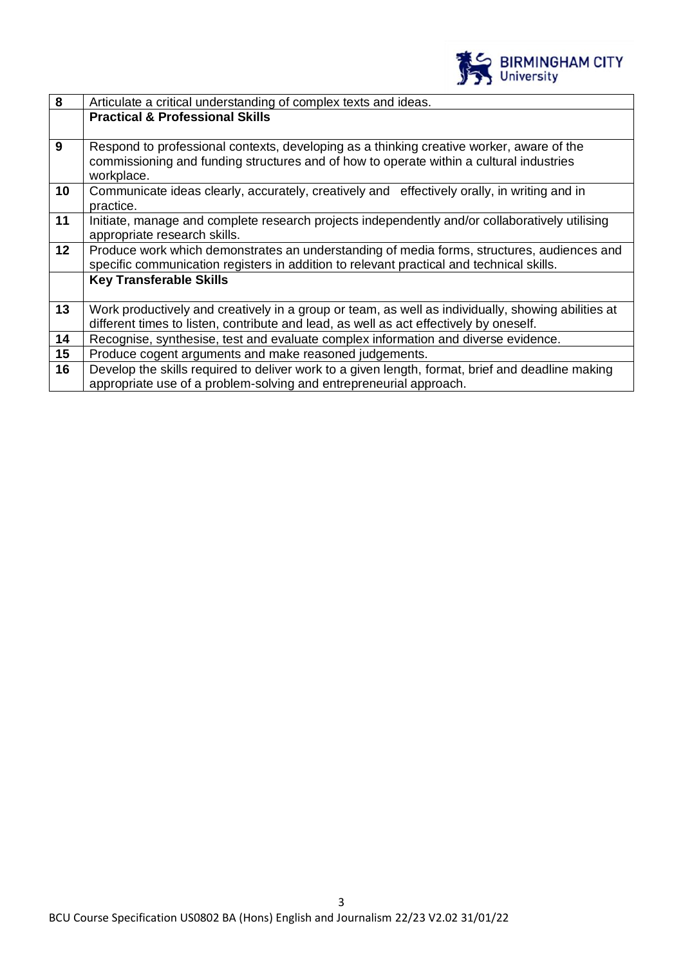

| 8               | Articulate a critical understanding of complex texts and ideas.                                                                                                                                   |  |  |
|-----------------|---------------------------------------------------------------------------------------------------------------------------------------------------------------------------------------------------|--|--|
|                 | <b>Practical &amp; Professional Skills</b>                                                                                                                                                        |  |  |
| 9               | Respond to professional contexts, developing as a thinking creative worker, aware of the<br>commissioning and funding structures and of how to operate within a cultural industries<br>workplace. |  |  |
| 10              | Communicate ideas clearly, accurately, creatively and effectively orally, in writing and in<br>practice.                                                                                          |  |  |
| 11              | Initiate, manage and complete research projects independently and/or collaboratively utilising<br>appropriate research skills.                                                                    |  |  |
| 12 <sup>2</sup> | Produce work which demonstrates an understanding of media forms, structures, audiences and<br>specific communication registers in addition to relevant practical and technical skills.            |  |  |
|                 | <b>Key Transferable Skills</b>                                                                                                                                                                    |  |  |
| 13              | Work productively and creatively in a group or team, as well as individually, showing abilities at<br>different times to listen, contribute and lead, as well as act effectively by oneself.      |  |  |
| 14              | Recognise, synthesise, test and evaluate complex information and diverse evidence.                                                                                                                |  |  |
| 15              | Produce cogent arguments and make reasoned judgements.                                                                                                                                            |  |  |
| 16              | Develop the skills required to deliver work to a given length, format, brief and deadline making<br>appropriate use of a problem-solving and entrepreneurial approach.                            |  |  |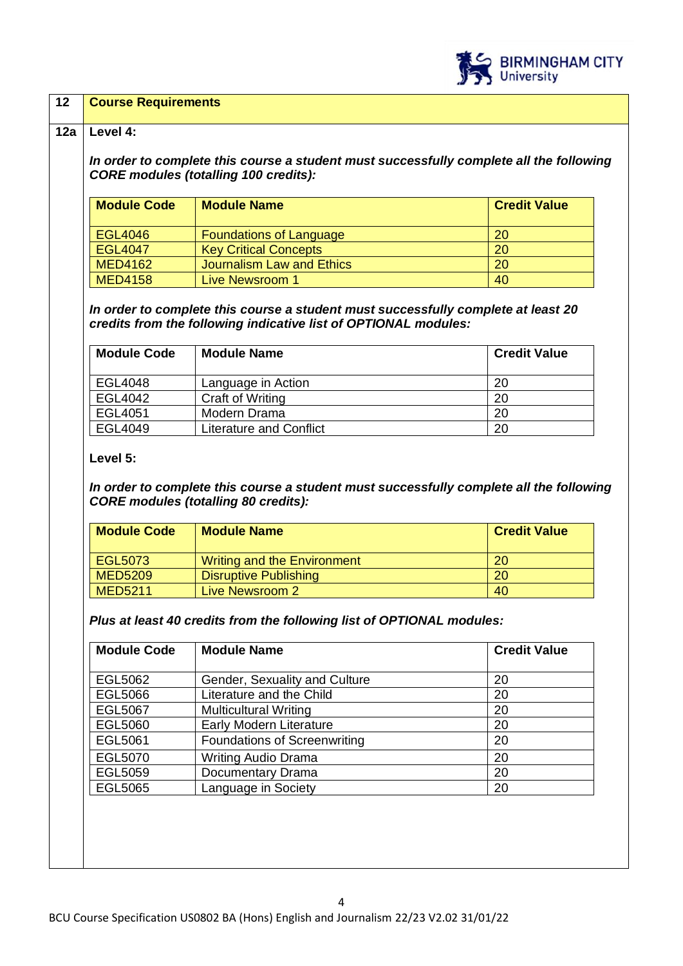

## **12 Course Requirements**

## **12a Level 4:**

*In order to complete this course a student must successfully complete all the following CORE modules (totalling 100 credits):*

| <b>Module Code</b> | <b>Module Name</b>             | <b>Credit Value</b> |
|--------------------|--------------------------------|---------------------|
| EGL4046            | <b>Foundations of Language</b> | <b>20</b>           |
| <b>EGL4047</b>     | <b>Key Critical Concepts</b>   | <b>20</b>           |
| <b>MED4162</b>     | Journalism Law and Ethics      | <b>20</b>           |
| <b>MED4158</b>     | Live Newsroom 1                | 40                  |

*In order to complete this course a student must successfully complete at least 20 credits from the following indicative list of OPTIONAL modules:*

| <b>Module Code</b> | <b>Module Name</b>      | <b>Credit Value</b> |
|--------------------|-------------------------|---------------------|
| EGL4048            | Language in Action      | 20                  |
| EGL4042            | <b>Craft of Writing</b> | 20                  |
| EGL4051            | Modern Drama            | 20                  |
| EGL4049            | Literature and Conflict | 20                  |

## **Level 5:**

*In order to complete this course a student must successfully complete all the following CORE modules (totalling 80 credits):*

| <b>Module Code</b> | <b>Module Name</b>           | <b>Credit Value</b> |
|--------------------|------------------------------|---------------------|
| EGL5073            | Writing and the Environment  | 20                  |
| <b>MED5209</b>     | <b>Disruptive Publishing</b> | 20                  |
| <b>MED5211</b>     | Live Newsroom 2              | 40                  |

*Plus at least 40 credits from the following list of OPTIONAL modules:*

| <b>Module Code</b> | <b>Module Name</b>                  | <b>Credit Value</b> |
|--------------------|-------------------------------------|---------------------|
| EGL5062            | Gender, Sexuality and Culture       | 20                  |
| <b>EGL5066</b>     | Literature and the Child            | 20                  |
| <b>EGL5067</b>     | <b>Multicultural Writing</b>        | 20                  |
| EGL5060            | Early Modern Literature             | 20                  |
| <b>EGL5061</b>     | <b>Foundations of Screenwriting</b> | 20                  |
| EGL5070            | <b>Writing Audio Drama</b>          | 20                  |
| EGL5059            | Documentary Drama                   | 20                  |
| <b>EGL5065</b>     | Language in Society                 | 20                  |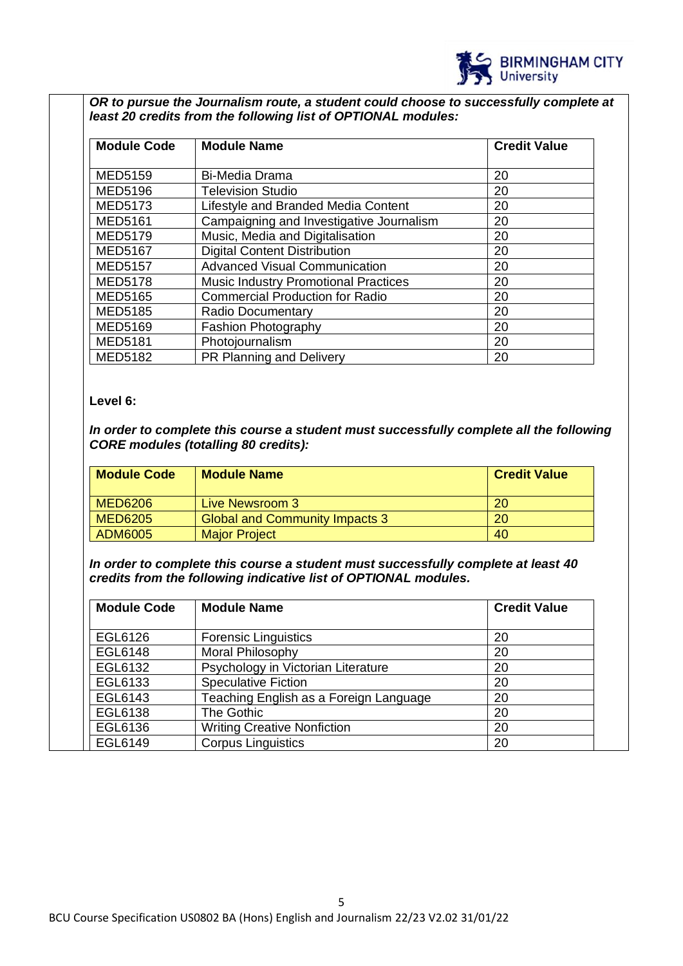

*OR to pursue the Journalism route, a student could choose to successfully complete at least 20 credits from the following list of OPTIONAL modules:*

| <b>Module Code</b> | <b>Module Name</b>                          | <b>Credit Value</b> |
|--------------------|---------------------------------------------|---------------------|
| <b>MED5159</b>     | <b>Bi-Media Drama</b>                       | 20                  |
| <b>MED5196</b>     | <b>Television Studio</b>                    | 20                  |
| <b>MED5173</b>     | Lifestyle and Branded Media Content         | 20                  |
| <b>MED5161</b>     | Campaigning and Investigative Journalism    | 20                  |
| <b>MED5179</b>     | Music, Media and Digitalisation             | 20                  |
| <b>MED5167</b>     | <b>Digital Content Distribution</b>         | 20                  |
| <b>MED5157</b>     | <b>Advanced Visual Communication</b>        | 20                  |
| <b>MED5178</b>     | <b>Music Industry Promotional Practices</b> | 20                  |
| <b>MED5165</b>     | <b>Commercial Production for Radio</b>      | 20                  |
| <b>MED5185</b>     | <b>Radio Documentary</b>                    | 20                  |
| <b>MED5169</b>     | <b>Fashion Photography</b>                  | 20                  |
| <b>MED5181</b>     | Photojournalism                             | 20                  |
| <b>MED5182</b>     | PR Planning and Delivery                    | 20                  |

## **Level 6:**

*In order to complete this course a student must successfully complete all the following CORE modules (totalling 80 credits):*

| <b>Module Code</b> | <b>Module Name</b>                    | <b>Credit Value</b> |
|--------------------|---------------------------------------|---------------------|
| <b>MED6206</b>     | <b>Live Newsroom 3</b>                | 20                  |
| <b>MED6205</b>     | <b>Global and Community Impacts 3</b> | <b>20</b>           |
| ADM6005            | <b>Major Project</b>                  | 40                  |

*In order to complete this course a student must successfully complete at least 40 credits from the following indicative list of OPTIONAL modules.* 

| <b>Module Code</b> | <b>Module Name</b>                     | <b>Credit Value</b> |
|--------------------|----------------------------------------|---------------------|
| EGL6126            | <b>Forensic Linguistics</b>            | 20                  |
| <b>EGL6148</b>     | Moral Philosophy                       | 20                  |
| EGL6132            | Psychology in Victorian Literature     | 20                  |
| EGL6133            | <b>Speculative Fiction</b>             | 20                  |
| EGL6143            | Teaching English as a Foreign Language | 20                  |
| EGL6138            | The Gothic                             | 20                  |
| EGL6136            | <b>Writing Creative Nonfiction</b>     | 20                  |
| EGL6149            | <b>Corpus Linguistics</b>              | 20                  |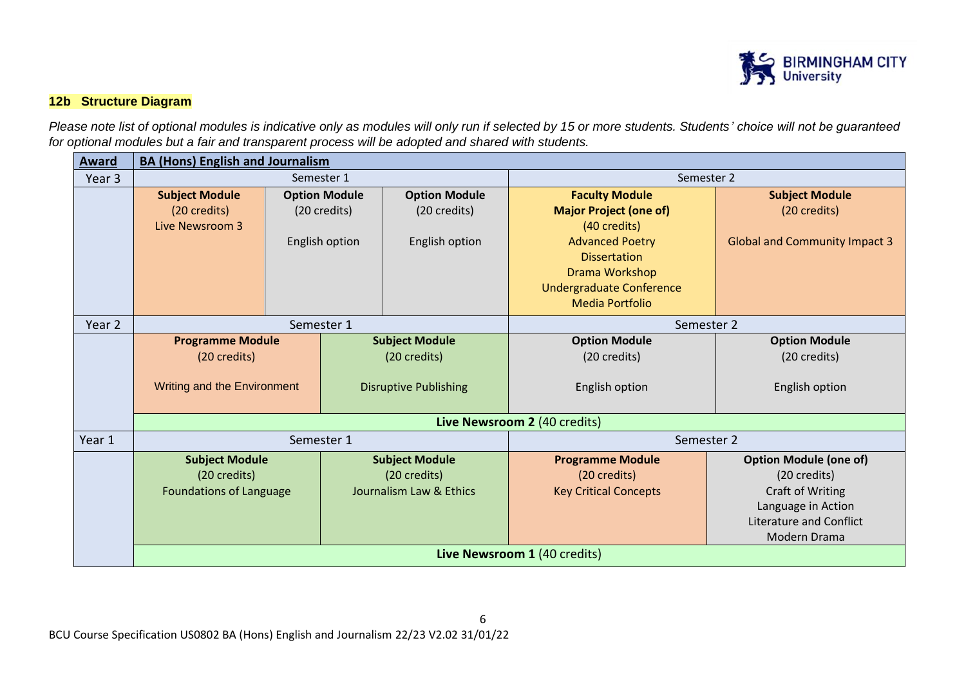

# **12b Structure Diagram**

*Please note list of optional modules is indicative only as modules will only run if selected by 15 or more students. Students' choice will not be guaranteed for optional modules but a fair and transparent process will be adopted and shared with students.*

| Award  | <b>BA (Hons) English and Journalism</b> |                      |                |                              |                                 |                                      |  |
|--------|-----------------------------------------|----------------------|----------------|------------------------------|---------------------------------|--------------------------------------|--|
| Year 3 | Semester 1                              |                      |                |                              | Semester 2                      |                                      |  |
|        | <b>Subject Module</b>                   | <b>Option Module</b> |                | <b>Option Module</b>         | <b>Faculty Module</b>           | <b>Subject Module</b>                |  |
|        | (20 credits)                            |                      | (20 credits)   | (20 credits)                 | <b>Major Project (one of)</b>   | (20 credits)                         |  |
|        | Live Newsroom 3                         |                      |                |                              | (40 credits)                    |                                      |  |
|        |                                         |                      | English option | English option               | <b>Advanced Poetry</b>          | <b>Global and Community Impact 3</b> |  |
|        |                                         |                      |                |                              | <b>Dissertation</b>             |                                      |  |
|        |                                         |                      |                |                              | Drama Workshop                  |                                      |  |
|        |                                         |                      |                |                              | <b>Undergraduate Conference</b> |                                      |  |
|        |                                         |                      |                |                              | <b>Media Portfolio</b>          |                                      |  |
| Year 2 | Semester 1                              |                      |                |                              | Semester 2                      |                                      |  |
|        | <b>Programme Module</b>                 |                      |                | <b>Subject Module</b>        | <b>Option Module</b>            | <b>Option Module</b>                 |  |
|        | (20 credits)                            |                      |                | (20 credits)                 | (20 credits)                    | (20 credits)                         |  |
|        |                                         |                      |                |                              |                                 |                                      |  |
|        | Writing and the Environment             |                      |                | <b>Disruptive Publishing</b> | English option                  | English option                       |  |
|        |                                         |                      |                |                              |                                 |                                      |  |
|        | Live Newsroom 2 (40 credits)            |                      |                |                              |                                 |                                      |  |
| Year 1 | Semester 1                              |                      |                |                              | Semester 2                      |                                      |  |
|        | <b>Subject Module</b>                   |                      |                | <b>Subject Module</b>        | <b>Programme Module</b>         | <b>Option Module (one of)</b>        |  |
|        | (20 credits)                            |                      |                | (20 credits)                 | (20 credits)                    | (20 credits)                         |  |
|        | <b>Foundations of Language</b>          |                      |                | Journalism Law & Ethics      | <b>Key Critical Concepts</b>    | Craft of Writing                     |  |
|        |                                         |                      |                |                              |                                 | Language in Action                   |  |
|        |                                         |                      |                |                              |                                 | <b>Literature and Conflict</b>       |  |
|        |                                         |                      |                |                              |                                 | Modern Drama                         |  |
|        | Live Newsroom 1 (40 credits)            |                      |                |                              |                                 |                                      |  |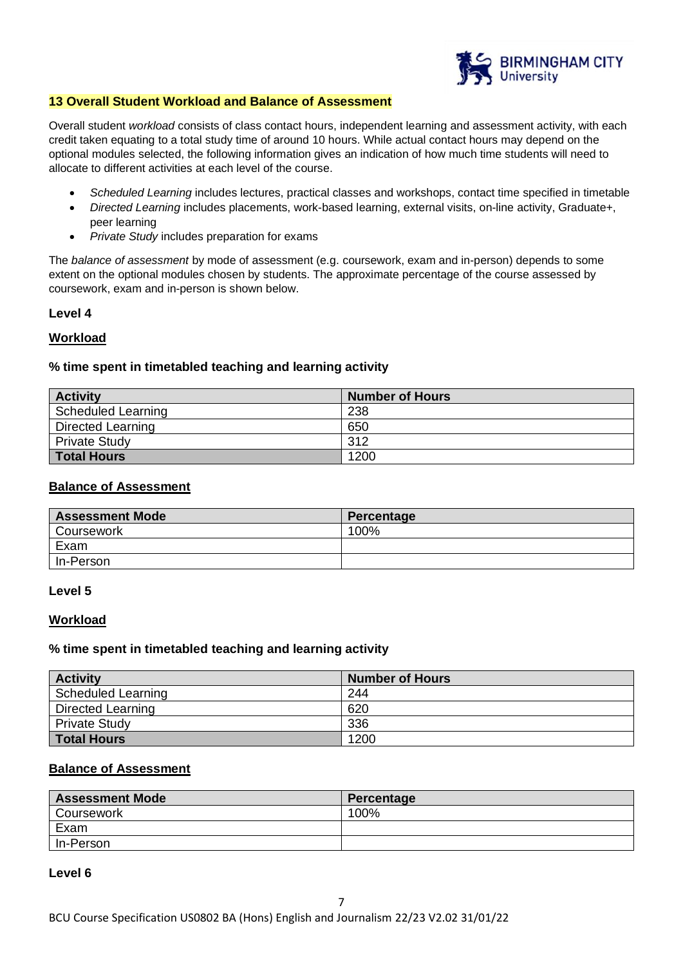

## **13 Overall Student Workload and Balance of Assessment**

Overall student *workload* consists of class contact hours, independent learning and assessment activity, with each credit taken equating to a total study time of around 10 hours. While actual contact hours may depend on the optional modules selected, the following information gives an indication of how much time students will need to allocate to different activities at each level of the course.

- *Scheduled Learning* includes lectures, practical classes and workshops, contact time specified in timetable
- *Directed Learning* includes placements, work-based learning, external visits, on-line activity, Graduate+, peer learning
- *Private Study* includes preparation for exams

The *balance of assessment* by mode of assessment (e.g. coursework, exam and in-person) depends to some extent on the optional modules chosen by students. The approximate percentage of the course assessed by coursework, exam and in-person is shown below.

## **Level 4**

## **Workload**

## **% time spent in timetabled teaching and learning activity**

| <b>Activity</b>      | Number of Hours |
|----------------------|-----------------|
| Scheduled Learning   | 238             |
| Directed Learning    | 650             |
| <b>Private Study</b> | 312             |
| <b>Total Hours</b>   | 1200            |

## **Balance of Assessment**

| <b>Assessment Mode</b> | Percentage |
|------------------------|------------|
| Coursework             | 100%       |
| Exam                   |            |
| In-Person              |            |

#### **Level 5**

#### **Workload**

## **% time spent in timetabled teaching and learning activity**

| <b>Activity</b>           | <b>Number of Hours</b> |
|---------------------------|------------------------|
| <b>Scheduled Learning</b> | 244                    |
| Directed Learning         | 620                    |
| <b>Private Study</b>      | 336                    |
| <b>Total Hours</b>        | 1200                   |

## **Balance of Assessment**

| <b>Assessment Mode</b> | Percentage |
|------------------------|------------|
| Coursework             | 100%       |
| Exam                   |            |
| In-Person              |            |

#### **Level 6**